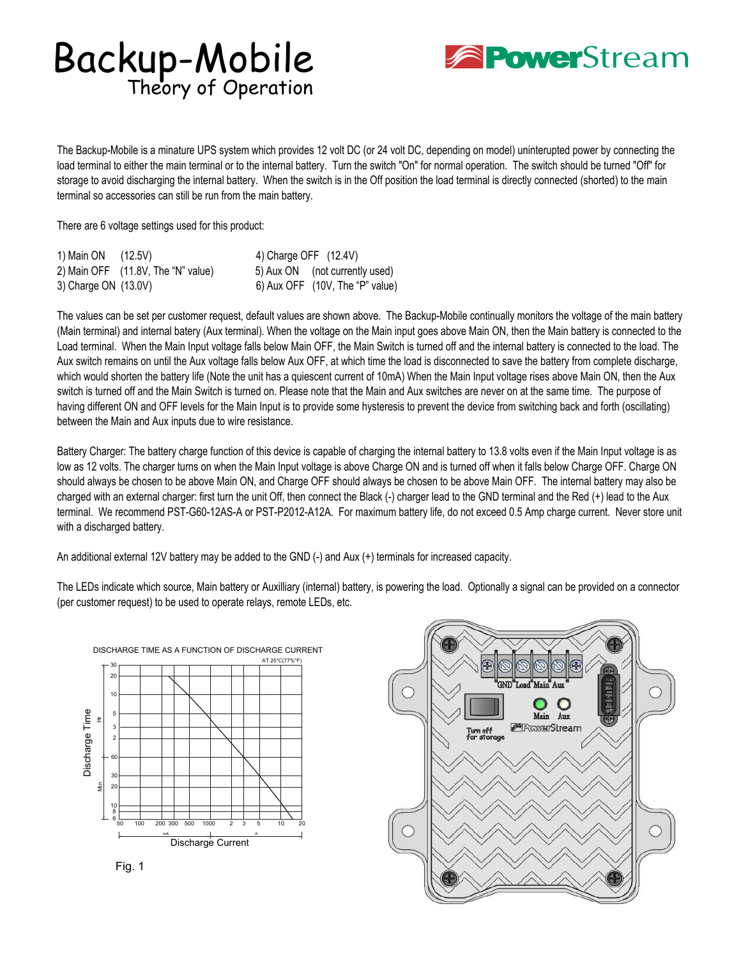## Backup-Mobile Theory of Operation



The Backup-Mobile is a minature UPS system which provides 12 volt DC (or 24 volt DC, depending on model) uninterupted power by connecting the load terminal to either the main terminal or to the internal battery. Turn the switch "On" for normal operation. The switch should be turned "Off" for storage to avoid discharging the internal battery. When the switch is in the Off position the load terminal is directly connected (shorted) to the main terminal so accessories can still be run from the main battery.

There are 6 voltage settings used for this product:

| 1) Main ON (12.5V)   |                                    | 4) Charge OFF (12.4V) |                                   |
|----------------------|------------------------------------|-----------------------|-----------------------------------|
|                      | 2) Main OFF (11.8V, The "N" value) |                       | 5) Aux ON (not currently used)    |
| 3) Charge ON (13.0V) |                                    |                       | 6) Aux OFF $(10V,$ The "P" value) |

The values can be set per customer request, default values are shown above. The Backup-Mobile continually monitors the voltage of the main battery (Main terminal) and internal batery (Aux terminal). When the voltage on the Main input goes above Main ON, then the Main battery is connected to the Load terminal. When the Main Input voltage falls below Main OFF, the Main Switch is turned off and the internal battery is connected to the load. The Aux switch remains on until the Aux voltage falls below Aux OFF, at which time the load is disconnected to save the battery from complete discharge, which would shorten the battery life (Note the unit has a quiescent current of 10mA) When the Main Input voltage rises above Main ON, then the Aux switch is turned off and the Main Switch is turned on. Please note that the Main and Aux switches are never on at the same time. The purpose of having different ON and OFF levels for the Main Input is to provide some hysteresis to prevent the device from switching back and forth (oscillating) between the Main and Aux inputs due to wire resistance.

Battery Charger: The battery charge function of this device is capable of charging the internal battery to 13.8 volts even if the Main Input voltage is as low as 12 volts. The charger turns on when the Main Input voltage is above Charge ON and is turned off when it falls below Charge OFF. Charge ON should always be chosen to be above Main ON, and Charge OFF should always be chosen to be above Main OFF. The internal battery may also be charged with an external charger: first turn the unit Off, then connect the Black (-) charger lead to the GND terminal and the Red (+) lead to the Aux terminal. We recommend PST-G60-12AS-A or PST-P2012-A12A. For maximum battery life, do not exceed 0.5 Amp charge current. Never store unit with a discharged battery.

An additional external 12V battery may be added to the GND (-) and Aux (+) terminals for increased capacity.

The LEDs indicate which source, Main battery or Auxilliary (internal) battery, is powering the load. Optionally a signal can be provided on a connector (per customer request) to be used to operate relays, remote LEDs, etc.





Fig. 1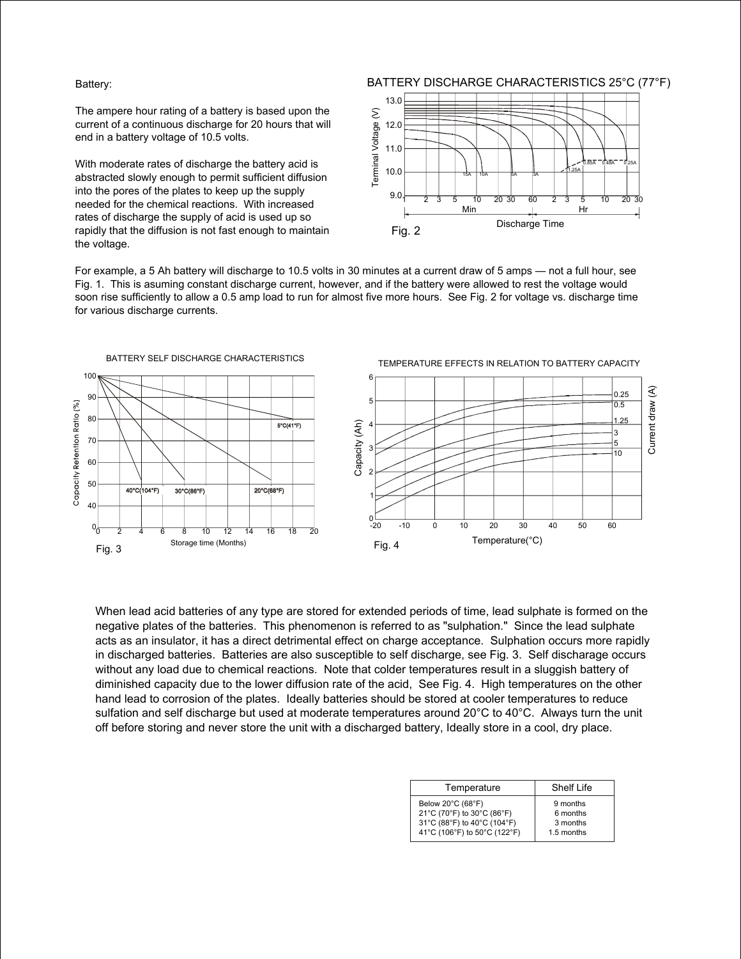## Battery:

The ampere hour rating of a battery is based upon the current of a continuous discharge for 20 hours that will end in a battery voltage of 10.5 volts.

With moderate rates of discharge the battery acid is abstracted slowly enough to permit sufficient diffusion into the pores of the plates to keep up the supply needed for the chemical reactions. With increased rates of discharge the supply of acid is used up so rapidly that the diffusion is not fast enough to maintain the voltage.



For example, a 5 Ah battery will discharge to 10.5 volts in 30 minutes at a current draw of 5 amps — not a full hour, see Fig. 1. This is asuming constant discharge current, however, and if the battery were allowed to rest the voltage would soon rise sufficiently to allow a 0.5 amp load to run for almost five more hours. See Fig. 2 for voltage vs. discharge time for various discharge currents.



When lead acid batteries of any type are stored for extended periods of time, lead sulphate is formed on the negative plates of the batteries. This phenomenon is referred to as "sulphation." Since the lead sulphate acts as an insulator, it has a direct detrimental effect on charge acceptance. Sulphation occurs more rapidly in discharged batteries. Batteries are also susceptible to self discharge, see Fig. 3. Self discharage occurs without any load due to chemical reactions. Note that colder temperatures result in a sluggish battery of diminished capacity due to the lower diffusion rate of the acid, See Fig. 4. High temperatures on the other hand lead to corrosion of the plates. Ideally batteries should be stored at cooler temperatures to reduce sulfation and self discharge but used at moderate temperatures around 20°C to 40°C. Always turn the unit off before storing and never store the unit with a discharged battery, Ideally store in a cool, dry place.

| Temperature                                                                                                    | Shelf Life                                     |  |
|----------------------------------------------------------------------------------------------------------------|------------------------------------------------|--|
| Below 20°C (68°F)<br>21°C (70°F) to 30°C (86°F)<br>31°C (88°F) to 40°C (104°F)<br>41°C (106°F) to 50°C (122°F) | 9 months<br>6 months<br>3 months<br>1.5 months |  |
|                                                                                                                |                                                |  |